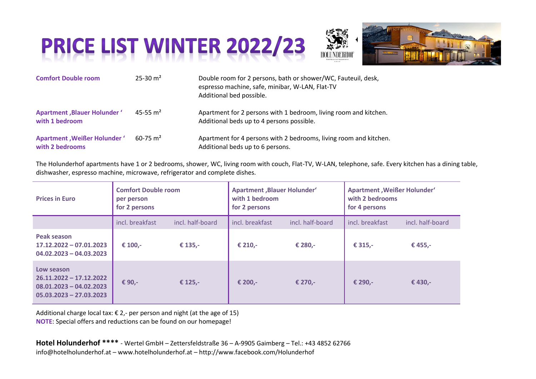# PRICE LIST WINTER 2022/23



| <b>Comfort Double room</b>                            | $25-30 \text{ m}^2$      | Double room for 2 persons, bath or shower/WC, Fauteuil, desk,<br>espresso machine, safe, minibar, W-LAN, Flat-TV<br>Additional bed possible. |
|-------------------------------------------------------|--------------------------|----------------------------------------------------------------------------------------------------------------------------------------------|
| <b>Apartment, Blauer Holunder '</b><br>with 1 bedroom | 45-55 m <sup>2</sup>     | Apartment for 2 persons with 1 bedroom, living room and kitchen.<br>Additional beds up to 4 persons possible.                                |
| Apartment, Weißer Holunder '<br>with 2 bedrooms       | $60 - 75$ m <sup>2</sup> | Apartment for 4 persons with 2 bedrooms, living room and kitchen.<br>Additional beds up to 6 persons.                                        |

The Holunderhof apartments have 1 or 2 bedrooms, shower, WC, living room with couch, Flat-TV, W-LAN, telephone, safe. Every kitchen has a dining table, dishwasher, espresso machine, microwave, refrigerator and complete dishes.

| <b>Prices in Euro</b>                                                                             | <b>Comfort Double room</b><br>per person<br>for 2 persons |                  | Apartment, Blauer Holunder'<br>with 1 bedroom<br>for 2 persons |                  | Apartment, Weißer Holunder'<br>with 2 bedrooms<br>for 4 persons |                  |
|---------------------------------------------------------------------------------------------------|-----------------------------------------------------------|------------------|----------------------------------------------------------------|------------------|-----------------------------------------------------------------|------------------|
|                                                                                                   | incl. breakfast                                           | incl. half-board | incl. breakfast                                                | incl. half-board | incl. breakfast                                                 | incl. half-board |
| Peak season<br>$17.12.2022 - 07.01.2023$<br>$04.02.2023 - 04.03.2023$                             | € 100,-                                                   | € 135,-          | € 210,-                                                        | € 280,-          | € 315,-                                                         | € 455,-          |
| Low season<br>$26.11.2022 - 17.12.2022$<br>$08.01.2023 - 04.02.2023$<br>$05.03.2023 - 27.03.2023$ | € 90,-                                                    | € 125,-          | € 200,-                                                        | € 270.-          | € 290.-                                                         | € 430,-          |

Additional charge local tax:  $\epsilon$  2,- per person and night (at the age of 15) **NOTE**: Special offers and reductions can be found on our homepage!

**Hotel Holunderhof \*\*\*\*** - Wertel GmbH – Zettersfeldstraße 36 – A-9905 Gaimberg – Tel.: +43 4852 62766 info@hotelholunderhof.at – www.hotelholunderhof.at – http://www.facebook.com/Holunderhof